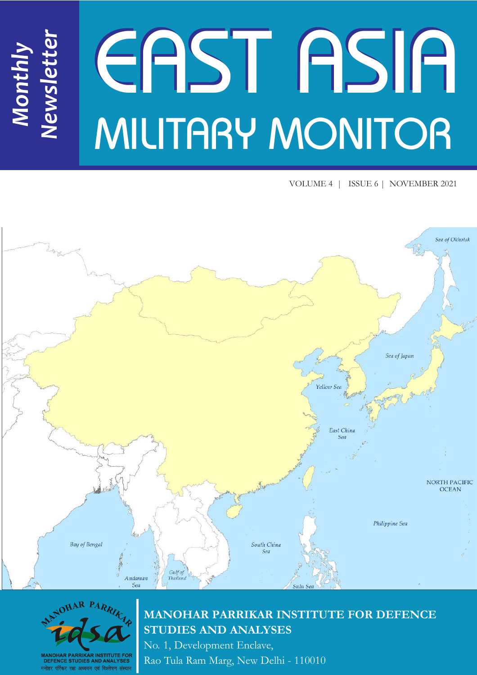# EAST ASIA MILITARY MONITOR *Newsletter*

VOLUME 4 | ISSUE 6 | NOVEMBER 2021





*Monthly*

## **MANOHAR PARRIKAR INSTITUTE FOR DEFENCE STUDIES AND ANALYSES**

No. 1, Development Enclave, Rao Tula Ram Marg, New Delhi - 110010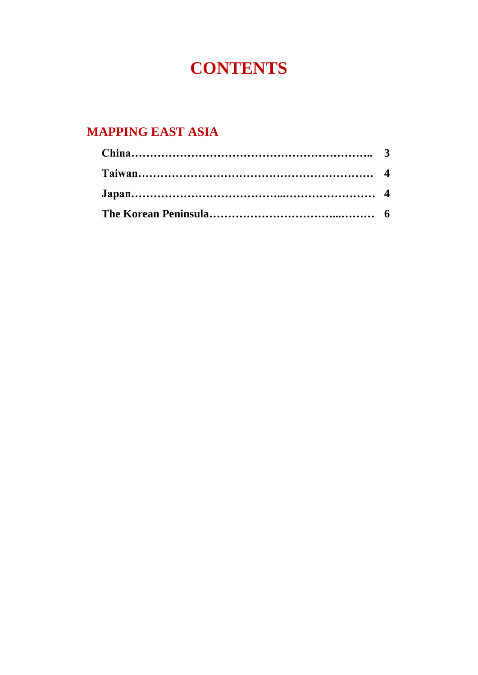# **CONTENTS**

## **MAPPING EAST ASIA**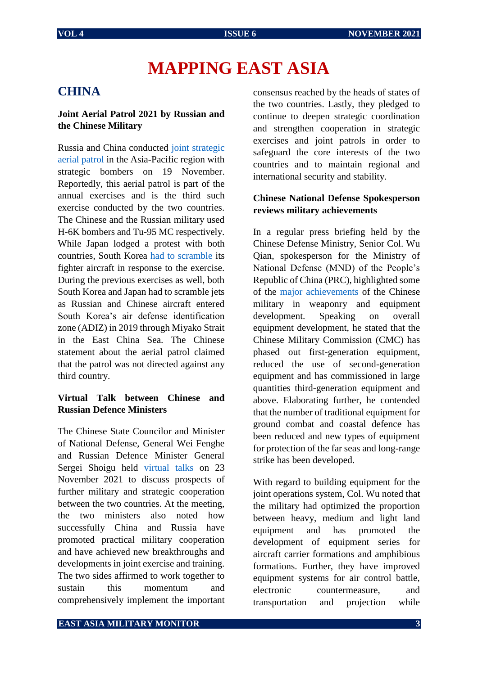# **MAPPING EAST ASIA**

#### **CHINA**

#### **Joint Aerial Patrol 2021 by Russian and the Chinese Military**

Russia and China conducted [joint strategic](https://news.cgtn.com/news/2021-11-19/Chinese-Russian-militaries-hold-2021-joint-aerial-patrol-15k63jv7S8w/index.html)  [aerial patrol](https://news.cgtn.com/news/2021-11-19/Chinese-Russian-militaries-hold-2021-joint-aerial-patrol-15k63jv7S8w/index.html) in the Asia-Pacific region with strategic bombers on 19 November. Reportedly, this aerial patrol is part of the annual exercises and is the third such exercise conducted by the two countries. The Chinese and the Russian military used H-6K bombers and Tu-95 MC respectively. While Japan lodged a protest with both countries, South Korea [had to scramble](https://www.janes.com/defence-news/news-detail/china-russia-conduct-joint-air-patrol-over-sea-of-japan) its fighter aircraft in response to the exercise. During the previous exercises as well, both South Korea and Japan had to scramble jets as Russian and Chinese aircraft entered South Korea's air defense identification zone (ADIZ) in 2019 through Miyako Strait in the East China Sea. The Chinese statement about the aerial patrol claimed that the patrol was not directed against any third country.

#### **Virtual Talk between Chinese and Russian Defence Ministers**

The Chinese State Councilor and Minister of National Defense, General Wei Fenghe and Russian Defence Minister General Sergei Shoigu held [virtual talks](http://english.chinamil.com.cn/view/2021-11/23/content_10110231.htm) on 23 November 2021 to discuss prospects of further military and strategic cooperation between the two countries. At the meeting, the two ministers also noted how successfully China and Russia have promoted practical military cooperation and have achieved new breakthroughs and developments in joint exercise and training. The two sides affirmed to work together to sustain this momentum and comprehensively implement the important

consensus reached by the heads of states of the two countries. Lastly, they pledged to continue to deepen strategic coordination and strengthen cooperation in strategic exercises and joint patrols in order to safeguard the core interests of the two countries and to maintain regional and international security and stability.

#### **Chinese National Defense Spokesperson reviews military achievements**

In a regular press briefing held by the Chinese Defense Ministry, Senior Col. Wu Qian, spokesperson for the Ministry of National Defense (MND) of the People's Republic of China (PRC), highlighted some of the [major achievements](http://english.chinamil.com.cn/view/2021-11/26/content_10112172.htm) of the Chinese military in weaponry and equipment development. Speaking on overall equipment development, he stated that the Chinese Military Commission (CMC) has phased out first-generation equipment, reduced the use of second-generation equipment and has commissioned in large quantities third-generation equipment and above. Elaborating further, he contended that the number of traditional equipment for ground combat and coastal defence has been reduced and new types of equipment for protection of the far seas and long-range strike has been developed.

With regard to building equipment for the joint operations system, Col. Wu noted that the military had optimized the proportion between heavy, medium and light land equipment and has promoted the development of equipment series for aircraft carrier formations and amphibious formations. Further, they have improved equipment systems for air control battle, electronic countermeasure, and transportation and projection while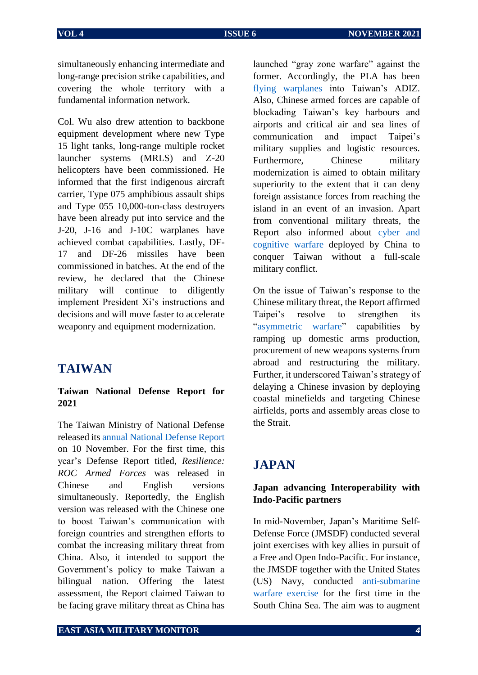simultaneously enhancing intermediate and long-range precision strike capabilities, and covering the whole territory with a fundamental information network.

Col. Wu also drew attention to backbone equipment development where new Type 15 light tanks, long-range multiple rocket launcher systems (MRLS) and Z-20 helicopters have been commissioned. He informed that the first indigenous aircraft carrier, Type 075 amphibious assault ships and Type 055 10,000-ton-class destroyers have been already put into service and the J-20, J-16 and J-10C warplanes have achieved combat capabilities. Lastly, DF-17 and DF-26 missiles have been commissioned in batches. At the end of the review, he declared that the Chinese military will continue to diligently implement President Xi's instructions and decisions and will move faster to accelerate weaponry and equipment modernization.

#### **TAIWAN**

#### **Taiwan National Defense Report for 2021**

The Taiwan Ministry of National Defense released it[s annual National Defense Report](https://www.taipeitimes.com/News/taiwan/archives/2021/11/10/2003767644) on 10 November. For the first time, this year's Defense Report titled, *Resilience: ROC Armed Forces* was released in Chinese and English versions simultaneously. Reportedly, the English version was released with the Chinese one to boost Taiwan's communication with foreign countries and strengthen efforts to combat the increasing military threat from China. Also, it intended to support the Government's policy to make Taiwan a bilingual nation. Offering the latest assessment, the Report claimed Taiwan to be facing grave military threat as China has

launched "gray zone warfare" against the former. Accordingly, the PLA has been [flying warplanes](https://www.taipeitimes.com/News/front/archives/2021/11/10/2003767628) into Taiwan's ADIZ. Also, Chinese armed forces are capable of blockading Taiwan's key harbours and airports and critical air and sea lines of communication and impact Taipei's military supplies and logistic resources. Furthermore, Chinese military modernization is aimed to obtain military superiority to the extent that it can deny foreign assistance forces from reaching the island in an event of an invasion. Apart from conventional military threats, the Report also informed about [cyber and](https://www.taipeitimes.com/News/taiwan/archives/2021/11/10/2003767644)  [cognitive warfare](https://www.taipeitimes.com/News/taiwan/archives/2021/11/10/2003767644) deployed by China to conquer Taiwan without a full-scale military conflict.

On the issue of Taiwan's response to the Chinese military threat, the Report affirmed Taipei's resolve to strengthen its "[asymmetric warfare](https://www.taipeitimes.com/News/front/archives/2021/11/10/2003767628)" capabilities by ramping up domestic arms production, procurement of new weapons systems from abroad and restructuring the military. Further, it underscored Taiwan's strategy of delaying a Chinese invasion by deploying coastal minefields and targeting Chinese airfields, ports and assembly areas close to the Strait.

### **JAPAN**

#### **Japan advancing Interoperability with Indo-Pacific partners**

In mid-November, Japan's Maritime Self-Defense Force (JMSDF) conducted several joint exercises with key allies in pursuit of a Free and Open Indo-Pacific. For instance, the JMSDF together with the United States (US) Navy, conducted [anti-submarine](https://www.taipeitimes.com/News/front/archives/2021/11/10/2003767628)  [warfare exercise](https://www.taipeitimes.com/News/front/archives/2021/11/10/2003767628) for the first time in the South China Sea. The aim was to augment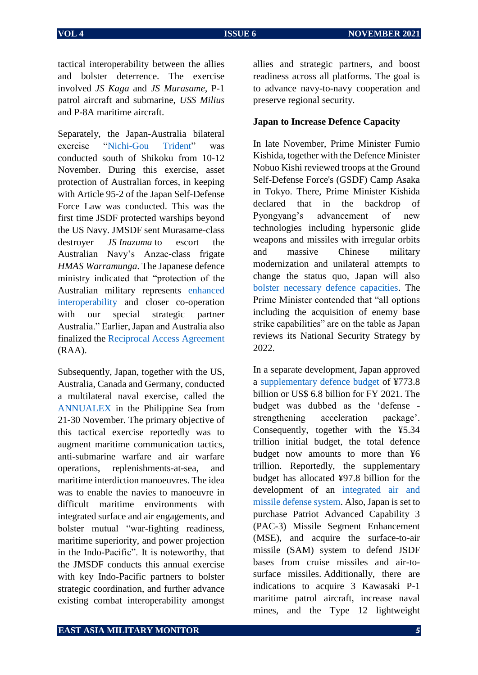tactical interoperability between the allies and bolster deterrence. The exercise involved *JS Kaga* and *JS Murasame*, P-1 patrol aircraft and submarine, *USS Milius* and P-8A maritime aircraft.

Separately, the Japan-Australia bilateral exercise "[Nichi-Gou Trident](https://d.docs.live.net/d02ad37ffb30f161/Documents/MP-IDSA%20work/East%20Asia%20Military%20Monitor/EAMM%20Nov-Dec/JMSDF%20conducted%20bilateral%20exercise%20with%20Australian%20Navy)" was conducted south of Shikoku from 10-12 November. During this exercise, asset protection of Australian forces, in keeping with Article 95-2 of the Japan Self-Defense Force Law was conducted. This was the first time JSDF protected warships beyond the US Navy. JMSDF sent Murasame-class destroyer *JS Inazuma* to escort the Australian Navy's Anzac-class frigate *HMAS Warramunga*. The Japanese defence ministry indicated that "protection of the Australian military represents [enhanced](https://www.janes.com/defence-news/news-detail/australia-japan-mark-new-level-of-naval-interoperability-in-jmsdf-escort-mission)  [interoperability](https://www.janes.com/defence-news/news-detail/australia-japan-mark-new-level-of-naval-interoperability-in-jmsdf-escort-mission) and closer co-operation with our special strategic partner Australia." Earlier, Japan and Australia also finalized the [Reciprocal Access Agreement](https://www.pm.gov.au/media/reciprocal-access-agreement) (RAA).

Subsequently, Japan, together with the US, Australia, Canada and Germany, conducted a multilateral naval exercise, called the [ANNUALEX](https://www.cpf.navy.mil/News/Article/2849971/australia-canada-germany-japan-us-join-for-annualex-2021/) in the Philippine Sea from 21-30 November. The primary objective of this tactical exercise reportedly was to augment maritime communication tactics, anti-submarine warfare and air warfare operations, replenishments-at-sea, and maritime interdiction manoeuvres. The idea was to enable the navies to manoeuvre in difficult maritime environments with integrated surface and air engagements, and bolster mutual "war-fighting readiness, maritime superiority, and power projection in the Indo-Pacific". It is noteworthy, that the JMSDF conducts this annual exercise with key Indo-Pacific partners to bolster strategic coordination, and further advance existing combat interoperability amongst

allies and strategic partners, and boost readiness across all platforms. The goal is to advance navy-to-navy cooperation and preserve regional security.

#### **Japan to Increase Defence Capacity**

In late November, Prime Minister Fumio Kishida, together with the Defence Minister Nobuo Kishi reviewed troops at the Ground Self-Defense Force's (GSDF) Camp Asaka in Tokyo. There, Prime Minister Kishida declared that in the backdrop of Pyongyang's advancement of new technologies including hypersonic glide weapons and missiles with irregular orbits and massive Chinese military modernization and unilateral attempts to change the status quo, Japan will also [bolster necessary defence capacities.](https://english.kyodonews.net/news/2021/11/2083092bfa42-kishida-says-enemy-base-strike-capabilities-option-to-boost-defense.html) The Prime Minister contended that "all options including the acquisition of enemy base strike capabilities" are on the table as Japan reviews its National Security Strategy by 2022.

In a separate development, Japan approved a [supplementary defence budget](https://www.janes.com/amp/japan-adds-usd68-billion-to-2021-defence-budget/ZnlJK3dHVU9mZ28xajRJVkc5dVI5VFp1cVMwPQ2) of ¥773.8 billion or US\$ 6.8 billion for FY 2021. The budget was dubbed as the 'defense strengthening acceleration package'. Consequently, together with the ¥5.34 trillion initial budget, the total defence budget now amounts to more than ¥6 trillion. Reportedly, the supplementary budget has allocated ¥97.8 billion for the development of an [integrated air and](https://thediplomat.com/2021/11/japan-approves-record-extra-defense-budget/)  [missile defense system.](https://thediplomat.com/2021/11/japan-approves-record-extra-defense-budget/) Also, Japan is set to purchase Patriot Advanced Capability 3 (PAC-3) Missile Segment Enhancement (MSE), and acquire the surface-to-air missile (SAM) system to defend JSDF bases from cruise missiles and air-tosurface missiles. Additionally, there are indications to acquire 3 Kawasaki P-1 maritime patrol aircraft, increase naval mines, and the Type 12 lightweight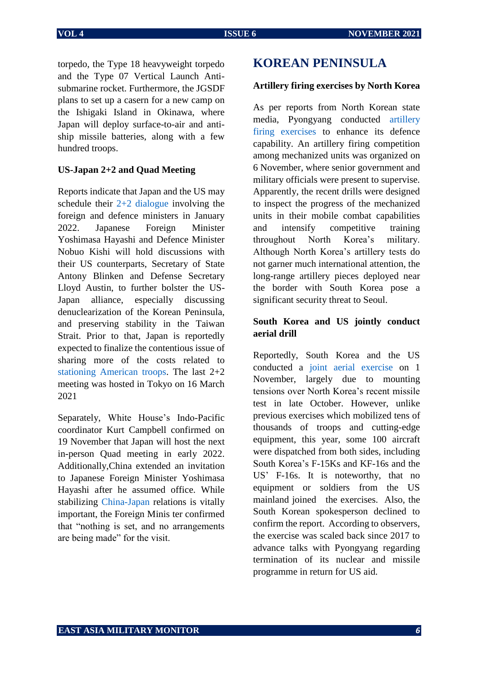torpedo, the Type 18 heavyweight torpedo and the Type 07 Vertical Launch Antisubmarine rocket. Furthermore, the JGSDF plans to set up a casern for a new camp on the Ishigaki Island in Okinawa, where Japan will deploy surface-to-air and antiship missile batteries, along with a few hundred troops.

#### **US-Japan 2+2 and Quad Meeting**

Reports indicate that Japan and the US may schedule their [2+2 dialogue](https://english.kyodonews.net/news/2021/11/76fdbad29963-japan-us-eye-2-plus-2-security-talks-in-jan.html) involving the foreign and defence ministers in January 2022. Japanese Foreign Minister Yoshimasa Hayashi and Defence Minister Nobuo Kishi will hold discussions with their US counterparts, Secretary of State Antony Blinken and Defense Secretary Lloyd Austin, to further bolster the US-Japan alliance, especially discussing denuclearization of the Korean Peninsula, and preserving stability in the Taiwan Strait. Prior to that, Japan is reportedly expected to finalize the contentious issue of sharing more of the costs related to [stationing American troops.](https://mainichi.jp/english/articles/20211117/p2g/00m/0na/053000c) The last 2+2 meeting was hosted in Tokyo on 16 March 2021

Separately, White House's Indo-Pacific coordinator Kurt Campbell confirmed on 19 November that Japan will host the next in-person Quad meeting in early 2022. Additionally,China extended an invitation to Japanese Foreign Minister Yoshimasa Hayashi after he assumed office. While stabilizing [China-Japan](https://www.japantimes.co.jp/news/2021/11/21/national/yoshimasa-hayashi-china-invite/) relations is vitally important, the Foreign Minis ter confirmed that "nothing is set, and no arrangements are being made" for the visit.

#### **KOREAN PENINSULA**

#### **Artillery firing exercises by North Korea**

As per reports from North Korean state media, Pyongyang conducted [artillery](https://www.defensenews.com/flashpoints/2021/11/07/north-korea-stages-artillery-firing-drill-in-latest-weapons-test/)  [firing exercises](https://www.defensenews.com/flashpoints/2021/11/07/north-korea-stages-artillery-firing-drill-in-latest-weapons-test/) to enhance its defence capability. An artillery firing competition among mechanized units was organized on 6 November, where senior government and military officials were present to supervise. Apparently, the recent drills were designed to inspect the progress of the mechanized units in their mobile combat capabilities and intensify competitive training throughout North Korea's military. Although North Korea's artillery tests do not garner much international attention, the long-range artillery pieces deployed near the border with South Korea pose a significant security threat to Seoul.

#### **South Korea and US jointly conduct aerial drill**

Reportedly, South Korea and the US conducted a [joint aerial exercise](https://www.reuters.com/business/aerospace-defense/skorea-us-quietly-hold-joint-air-exercises-amid-calls-talks-with-nkorea-2021-11-01/) on 1 November, largely due to mounting tensions over North Korea's recent missile test in late October. However, unlike previous exercises which mobilized tens of thousands of troops and cutting-edge equipment, this year, some 100 aircraft were dispatched from both sides, including South Korea's F-15Ks and KF-16s and the US' F-16s. It is noteworthy, that no equipment or soldiers from the US mainland joined the exercises. Also, the South Korean spokesperson declined to confirm the report. According to observers, the exercise was scaled back since 2017 to advance talks with Pyongyang regarding termination of its nuclear and missile programme in return for US aid.